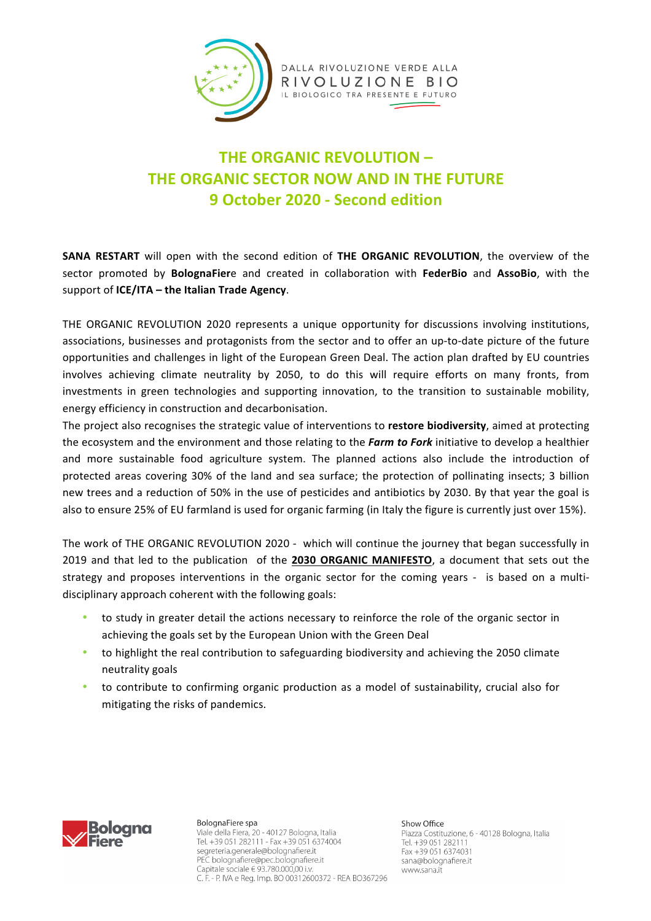

## **THE ORGANIC REVOLUTION – THE ORGANIC SECTOR NOW AND IN THE FUTURE 9 October 2020 - Second edition**

**SANA RESTART** will open with the second edition of THE ORGANIC REVOLUTION, the overview of the sector promoted by **BolognaFier**e and created in collaboration with FederBio and AssoBio, with the support of **ICE/ITA** – the Italian Trade Agency.

THE ORGANIC REVOLUTION 2020 represents a unique opportunity for discussions involving institutions, associations, businesses and protagonists from the sector and to offer an up-to-date picture of the future opportunities and challenges in light of the European Green Deal. The action plan drafted by EU countries involves achieving climate neutrality by 2050, to do this will require efforts on many fronts, from investments in green technologies and supporting innovation, to the transition to sustainable mobility, energy efficiency in construction and decarbonisation.

The project also recognises the strategic value of interventions to **restore biodiversity**, aimed at protecting the ecosystem and the environment and those relating to the **Farm to Fork** initiative to develop a healthier and more sustainable food agriculture system. The planned actions also include the introduction of protected areas covering 30% of the land and sea surface; the protection of pollinating insects; 3 billion new trees and a reduction of 50% in the use of pesticides and antibiotics by 2030. By that year the goal is also to ensure 25% of EU farmland is used for organic farming (in Italy the figure is currently just over 15%).

The work of THE ORGANIC REVOLUTION 2020 - which will continue the journey that began successfully in 2019 and that led to the publication of the 2030 ORGANIC MANIFESTO, a document that sets out the strategy and proposes interventions in the organic sector for the coming years - is based on a multidisciplinary approach coherent with the following goals:

- to study in greater detail the actions necessary to reinforce the role of the organic sector in achieving the goals set by the European Union with the Green Deal
- to highlight the real contribution to safeguarding biodiversity and achieving the 2050 climate neutrality goals
- to contribute to confirming organic production as a model of sustainability, crucial also for mitigating the risks of pandemics.



BolognaFiere spa Viale della Fiera, 20 - 40127 Bologna, Italia Tel. +39 051 282111 - Fax +39 051 6374004 segreteria.generale@bolognafiere.it PEC bolognafiere@pec.bolognafiere.it Capitale sociale € 93.780.000,00 i.v. C. F. - P. IVA e Reg. Imp. BO 00312600372 - REA BO367296

Show Office Piazza Costituzione, 6 - 40128 Bologna, Italia Tel. +39 051 282111 Fax +39 051 6374031 sana@bolognafiere.it www.sana.it